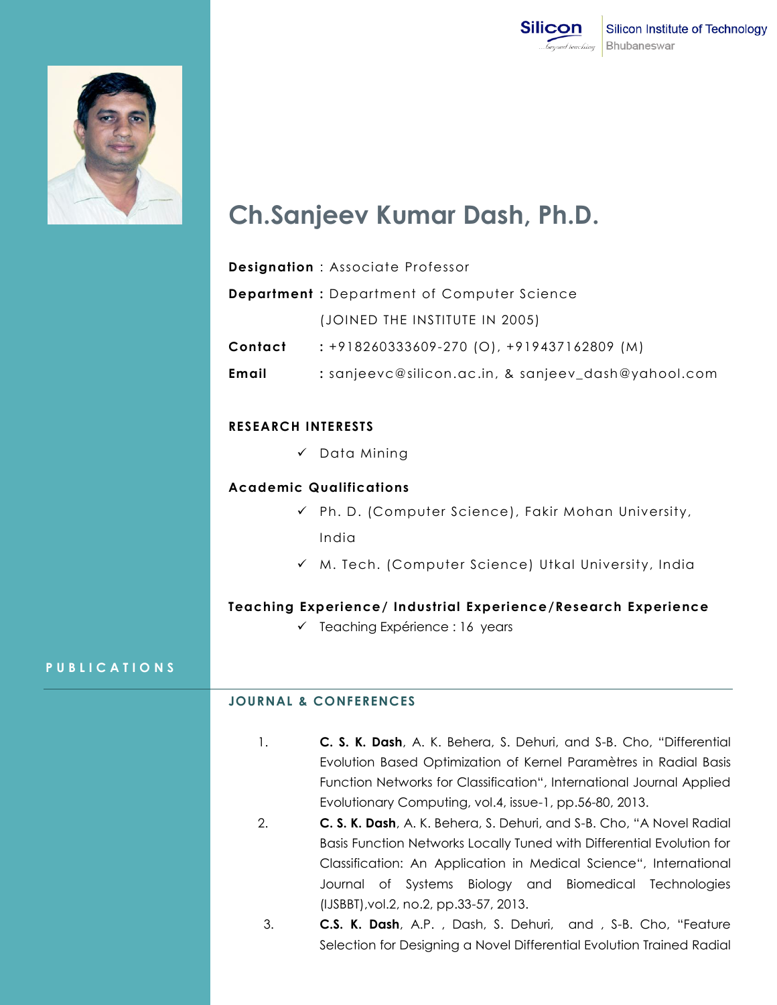



# **Ch.Sanjeev Kumar Dash, Ph.D.**

| <b>Designation: Associate Professor</b>           |                                                     |
|---------------------------------------------------|-----------------------------------------------------|
| <b>Department: Department of Computer Science</b> |                                                     |
|                                                   | (JOINED THE INSTITUTE IN 2005)                      |
| Contact                                           | $: +918260333609 - 270$ (O), $+919437162809$ (M)    |
| Email                                             | : sanjeevc@silicon.ac.in, & sanjeev_dash@yahool.com |

## **RESEARCH INTERESTS**

 $\checkmark$  Data Mining

### **Academic Qualifications**

- $\checkmark$  Ph. D. (Computer Science), Fakir Mohan University, India
- $\checkmark$  M. Tech. (Computer Science) Utkal University, India

## **Teaching Experience/ Industrial Experience/Research Experience**

 $\checkmark$  Teaching Expérience : 16 years

### **P U B L I C A T I O N S**

# **JOURNAL & CONFERENCES**

- 1. **C. S. K. Dash**, A. K. Behera, S. Dehuri, and S-B. Cho, "Differential Evolution Based Optimization of Kernel Paramètres in Radial Basis Function Networks for Classification", International Journal Applied Evolutionary Computing, vol.4, issue-1, pp.56-80, 2013.
- 2. **C. S. K. Dash**, A. K. Behera, S. Dehuri, and S-B. Cho, "A Novel Radial Basis Function Networks Locally Tuned with Differential Evolution for Classification: An Application in Medical Science", International Journal of Systems Biology and Biomedical Technologies (IJSBBT),vol.2, no.2, pp.33-57, 2013.
- 3. **C.S. K. Dash**, A.P. , Dash, S. Dehuri, and , S-B. Cho, "Feature Selection for Designing a Novel Differential Evolution Trained Radial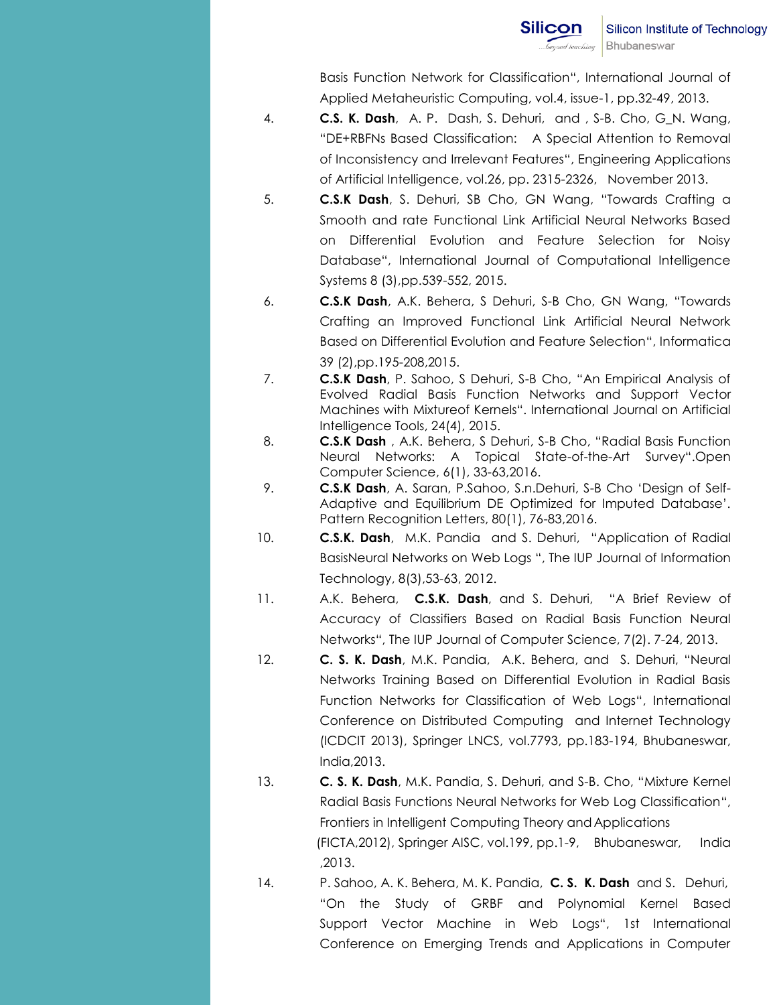Basis Function Network for Classification", International Journal of Applied Metaheuristic Computing, vol.4, issue-1, pp.32-49, 2013.

- 4. **C.S. K. Dash**, A. P. Dash, S. Dehuri, and , S-B. Cho, G\_N. Wang, "DE+RBFNs Based Classification: A Special Attention to Removal of Inconsistency and Irrelevant Features", Engineering Applications of Artificial Intelligence, vol.26, pp. 2315-2326, November 2013.
- 5. **C.S.K Dash**, S. Dehuri, SB Cho, GN Wang, "[Towards Crafting a](https://scholar.google.co.in/citations?view_op=view_citation&hl=en&user=OHo3mMQAAAAJ&authuser=1&citation_for_view=OHo3mMQAAAAJ:UeHWp8X0CEIC)  [Smooth and rate Functional Link Artificial Neural Networks Based](https://scholar.google.co.in/citations?view_op=view_citation&hl=en&user=OHo3mMQAAAAJ&authuser=1&citation_for_view=OHo3mMQAAAAJ:UeHWp8X0CEIC)  [on Differential Evolution and Feature Selection for Noisy](https://scholar.google.co.in/citations?view_op=view_citation&hl=en&user=OHo3mMQAAAAJ&authuser=1&citation_for_view=OHo3mMQAAAAJ:UeHWp8X0CEIC)  [Database](https://scholar.google.co.in/citations?view_op=view_citation&hl=en&user=OHo3mMQAAAAJ&authuser=1&citation_for_view=OHo3mMQAAAAJ:UeHWp8X0CEIC)", International Journal of Computational Intelligence Systems 8 (3),pp.539-552, 2015.
- 6. **C.S.K Dash**, A.K. Behera, S Dehuri, S-B Cho, GN Wang, "[Towards](https://scholar.google.co.in/citations?view_op=view_citation&hl=en&user=OHo3mMQAAAAJ&authuser=1&citation_for_view=OHo3mMQAAAAJ:eQOLeE2rZwMC)  [Crafting an Improved Functional Link Artificial Neural Network](https://scholar.google.co.in/citations?view_op=view_citation&hl=en&user=OHo3mMQAAAAJ&authuser=1&citation_for_view=OHo3mMQAAAAJ:eQOLeE2rZwMC)  [Based on Differential Evolution and Feature Selection](https://scholar.google.co.in/citations?view_op=view_citation&hl=en&user=OHo3mMQAAAAJ&authuser=1&citation_for_view=OHo3mMQAAAAJ:eQOLeE2rZwMC)", Informatica 39 (2),pp.195-208,2015.
- 7. **C.S.K Dash**, P. Sahoo, S Dehuri, S-B Cho, "[An Empirical Analysis of](https://scholar.google.co.in/citations?view_op=view_citation&hl=en&user=OHo3mMQAAAAJ&authuser=1&citation_for_view=OHo3mMQAAAAJ:u5HHmVD_uO8C)  [Evolved Radial Basis Function Networks and Support Vector](https://scholar.google.co.in/citations?view_op=view_citation&hl=en&user=OHo3mMQAAAAJ&authuser=1&citation_for_view=OHo3mMQAAAAJ:u5HHmVD_uO8C)  [Machines with Mixtureof Kernels](https://scholar.google.co.in/citations?view_op=view_citation&hl=en&user=OHo3mMQAAAAJ&authuser=1&citation_for_view=OHo3mMQAAAAJ:u5HHmVD_uO8C)". International Journal on Artificial Intelligence Tools, 24(4), 2015.
- 8. **C.S.K Dash** , A.K. Behera, S Dehuri, S-B Cho, "Radial Basis Function Neural Networks: A Topical State-of-the-Art Survey".Open Computer Science, 6(1), 33-63,2016.
- 9. **C.S.K Dash**, A. Saran, P.Sahoo, S.n.Dehuri, S-B Cho "Design of Self-Adaptive and Equilibrium DE Optimized for Imputed Database". Pattern Recognition Letters, 80(1), 76-83,2016.
- 10. **C.S.K. Dash**, M.K. Pandia and S. Dehuri, "Application of Radial BasisNeural Networks on Web Logs ", The IUP Journal of Information Technology, 8(3),53-63, 2012.
- 11. A.K. Behera, **C.S.K. Dash**, and S. Dehuri, "A Brief Review of Accuracy of Classifiers Based on Radial Basis Function Neural Networks", The IUP Journal of Computer Science, 7(2). 7-24, 2013.
- 12. **C. S. K. Dash**, M.K. Pandia, A.K. Behera, and S. Dehuri, "Neural Networks Training Based on Differential Evolution in Radial Basis Function Networks for Classification of Web Logs", International Conference on Distributed Computing and Internet Technology (ICDCIT 2013), Springer LNCS, vol.7793, pp.183-194, Bhubaneswar, India,2013.
- 13. **C. S. K. Dash**, M.K. Pandia, S. Dehuri, and S-B. Cho, "Mixture Kernel Radial Basis Functions Neural Networks for Web Log Classification", Frontiers in Intelligent Computing Theory and Applications (FICTA,2012), Springer AISC, vol.199, pp.1-9, Bhubaneswar, India ,2013.
- 14. P. Sahoo, A. K. Behera, M. K. Pandia, **C. S. K. Dash** and S. Dehuri, "On the Study of GRBF and Polynomial Kernel Based Support Vector Machine in Web Logs", 1st International Conference on Emerging Trends and Applications in Computer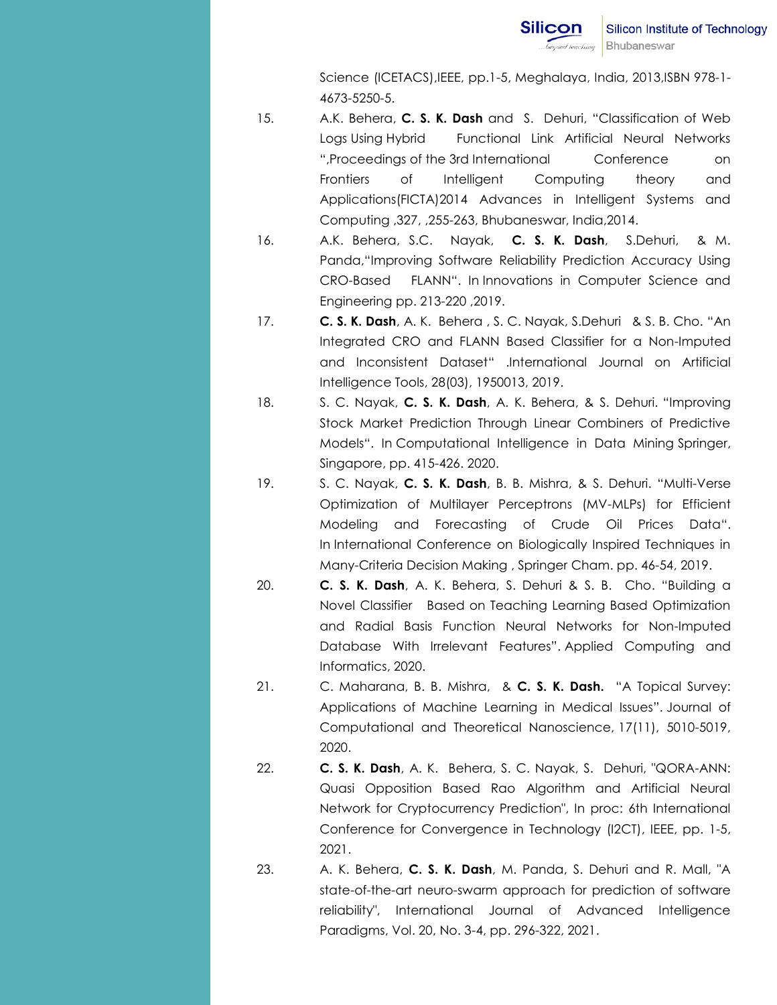Science (ICETACS),IEEE, pp.1-5, Meghalaya, India, 2013,ISBN 978-1- 4673-5250-5.

- 15. A.K. Behera, **C. S. K. Dash** and S. Dehuri, "Classification of Web Logs Using Hybrid Functional Link Artificial Neural Networks ",Proceedings of the 3rd International Conference on Frontiers of Intelligent Computing theory and Applications(FICTA)2014 Advances in Intelligent Systems and Computing ,327, ,255-263, Bhubaneswar, India,2014.
- 16. A.K. Behera, S.C. Nayak, **C. S. K. Dash**, S.Dehuri, & M. Panda,"Improving Software Reliability Prediction Accuracy Using CRO-Based FLANN". In Innovations in Computer Science and Engineering pp. 213-220 ,2019.
- 17. **C. S. K. Dash**, A. K. Behera , S. C. Nayak, S.Dehuri & S. B. Cho. "An Integrated CRO and FLANN Based Classifier for a Non-Imputed and Inconsistent Dataset" .International Journal on Artificial Intelligence Tools, 28(03), 1950013, 2019.
- 18. S. C. Nayak, **C. S. K. Dash**, A. K. Behera, & S. Dehuri. "Improving Stock Market Prediction Through Linear Combiners of Predictive Models". In Computational Intelligence in Data Mining Springer, Singapore, pp. 415-426. 2020.
- 19. S. C. Nayak, **C. S. K. Dash**, B. B. Mishra, & S. Dehuri. "Multi-Verse Optimization of Multilayer Perceptrons (MV-MLPs) for Efficient Modeling and Forecasting of Crude Oil Prices Data". In International Conference on Biologically Inspired Techniques in Many-Criteria Decision Making , Springer Cham. pp. 46-54, 2019.
- 20. **C. S. K. Dash**, A. K. Behera, S. Dehuri & S. B. Cho. "Building a Novel Classifier Based on Teaching Learning Based Optimization and Radial Basis Function Neural Networks for Non-Imputed Database With Irrelevant Features". Applied Computing and Informatics, 2020.
- 21. C. Maharana, B. B. Mishra, & **C. S. K. Dash.** "A Topical Survey: Applications of Machine Learning in Medical Issues". Journal of Computational and Theoretical Nanoscience, 17(11), 5010-5019, 2020.
- 22. **C. S. K. Dash**, A. K. Behera, S. C. Nayak, S. Dehuri, "QORA-ANN: Quasi Opposition Based Rao Algorithm and Artificial Neural Network for Cryptocurrency Prediction", In proc: 6th International Conference for Convergence in Technology (I2CT), IEEE, pp. 1-5, 2021.
- 23. A. K. Behera, **C. S. K. Dash**, M. Panda, S. Dehuri and R. Mall, "A state-of-the-art neuro-swarm approach for prediction of software reliability", International Journal of Advanced Intelligence Paradigms, Vol. 20, No. 3-4, pp. 296-322, 2021.